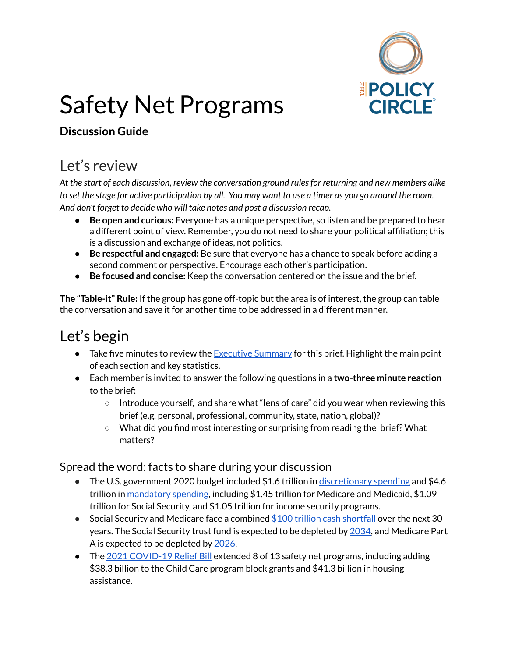

# Safety Net Programs

#### **Discussion Guide**

## Let's review

*At the start of each discussion, review the conversation ground rulesfor returning and new members alike* to set the stage for active participation by all. You may want to use a timer as you go around the room. *And don't forget to decide who will take notes and post a discussion recap.*

- **Be open and curious:** Everyone has a unique perspective, so listen and be prepared to hear a different point of view. Remember, you do not need to share your political affiliation; this is a discussion and exchange of ideas, not politics.
- **Be respectful and engaged:** Be sure that everyone has a chance to speak before adding a second comment or perspective. Encourage each other's participation.
- **Be focused and concise:** Keep the conversation centered on the issue and the brief.

**The "Table-it" Rule:** If the group has gone off-topic but the area is of interest, the group can table the conversation and save it for another time to be addressed in a different manner.

## Let's begin

- Take five minutes to review the [Executive](https://www.thepolicycircle.org/wp-content/uploads/2018/03/Safety-Net-Programs-Executive-Summary.pdf) Summary for this brief. Highlight the main point of each section and key statistics.
- Each member is invited to answer the following questions in a **two-three minute reaction** to the brief:
	- Introduce yourself, and share what "lens of care" did you wear when reviewing this brief (e.g. personal, professional, community, state, nation, global)?
	- What did you find most interesting or surprising from reading the brief? What matters?

#### Spread the word: facts to share during your discussion

- The U.S. government 2020 budget included \$1.6 trillion in [discretionary](https://www.cbo.gov/publication/57172) spending and \$4.6 trillion in [mandatory](https://www.cbo.gov/publication/57171) spending, including \$1.45 trillion for Medicare and Medicaid, \$1.09 trillion for Social Security, and \$1.05 trillion for income security programs.
- Social Security and Medicare face a combined  $$100$  trillion cash [shortfall](https://www.cbo.gov/publication/56516) over the next 30 years. The Social Security trust fund is expected to be depleted by [2034](https://www.wsj.com/articles/social-security-costs-expected-to-exceed-total-income-in-2021-as-covid-19-takes-financial-toll-11630436193?mod=djem10point), and Medicare Part A is expected to be depleted by [2026.](https://www.crfb.org/papers/case-for-trust-fund-solutions)
- The 2021 [COVID-19](http://federalsafetynet.com/coronavirus-relief-bill.html) Relief Bill extended 8 of 13 safety net programs, including adding \$38.3 billion to the Child Care program block grants and \$41.3 billion in housing assistance.